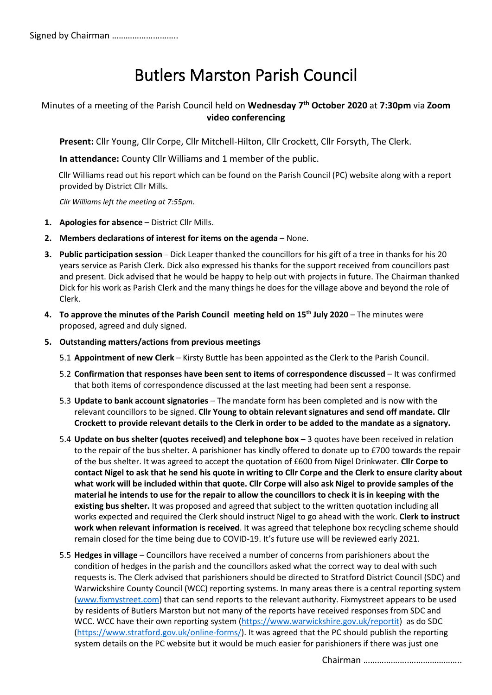# Butlers Marston Parish Council

## Minutes of a meeting of the Parish Council held on **Wednesday 7 th October 2020** at **7:30pm** via **Zoom video conferencing**

**Present:** Cllr Young, Cllr Corpe, Cllr Mitchell-Hilton, Cllr Crockett, Cllr Forsyth, The Clerk.

**In attendance:** County Cllr Williams and 1 member of the public.

 Cllr Williams read out his report which can be found on the Parish Council (PC) website along with a report provided by District Cllr Mills.

*Cllr Williams left the meeting at 7:55pm.*

- **1. Apologies for absence** District Cllr Mills.
- **2. Members declarations of interest for items on the agenda** None.
- **3. Public participation session** Dick Leaper thanked the councillors for his gift of a tree in thanks for his 20 years service as Parish Clerk. Dick also expressed his thanks for the support received from councillors past and present. Dick advised that he would be happy to help out with projects in future. The Chairman thanked Dick for his work as Parish Clerk and the many things he does for the village above and beyond the role of Clerk.
- **4. To approve the minutes of the Parish Council meeting held on 15th July 2020** The minutes were proposed, agreed and duly signed.
- **5. Outstanding matters/actions from previous meetings**
	- 5.1 **Appointment of new Clerk** Kirsty Buttle has been appointed as the Clerk to the Parish Council.
	- 5.2 **Confirmation that responses have been sent to items of correspondence discussed** It was confirmed that both items of correspondence discussed at the last meeting had been sent a response.
	- 5.3 **Update to bank account signatories** The mandate form has been completed and is now with the relevant councillors to be signed. **Cllr Young to obtain relevant signatures and send off mandate. Cllr Crockett to provide relevant details to the Clerk in order to be added to the mandate as a signatory.**
	- 5.4 **Update on bus shelter (quotes received) and telephone box** 3 quotes have been received in relation to the repair of the bus shelter. A parishioner has kindly offered to donate up to £700 towards the repair of the bus shelter. It was agreed to accept the quotation of £600 from Nigel Drinkwater. **Cllr Corpe to contact Nigel to ask that he send his quote in writing to Cllr Corpe and the Clerk to ensure clarity about what work will be included within that quote. Cllr Corpe will also ask Nigel to provide samples of the material he intends to use for the repair to allow the councillors to check it is in keeping with the existing bus shelter.** It was proposed and agreed that subject to the written quotation including all works expected and required the Clerk should instruct Nigel to go ahead with the work. **Clerk to instruct work when relevant information is received**. It was agreed that telephone box recycling scheme should remain closed for the time being due to COVID-19. It's future use will be reviewed early 2021.
	- 5.5 **Hedges in village** Councillors have received a number of concerns from parishioners about the condition of hedges in the parish and the councillors asked what the correct way to deal with such requests is. The Clerk advised that parishioners should be directed to Stratford District Council (SDC) and Warwickshire County Council (WCC) reporting systems. In many areas there is a central reporting system [\(www.fixmystreet.com\)](http://www.fixmystreet.com/) that can send reports to the relevant authority. Fixmystreet appears to be used by residents of Butlers Marston but not many of the reports have received responses from SDC and WCC. WCC have their own reporting system [\(https://www.warwickshire.gov.uk/reportit\)](https://www.warwickshire.gov.uk/reportit) as do SDC [\(https://www.stratford.gov.uk/online-forms/\)](https://www.stratford.gov.uk/online-forms/). It was agreed that the PC should publish the reporting system details on the PC website but it would be much easier for parishioners if there was just one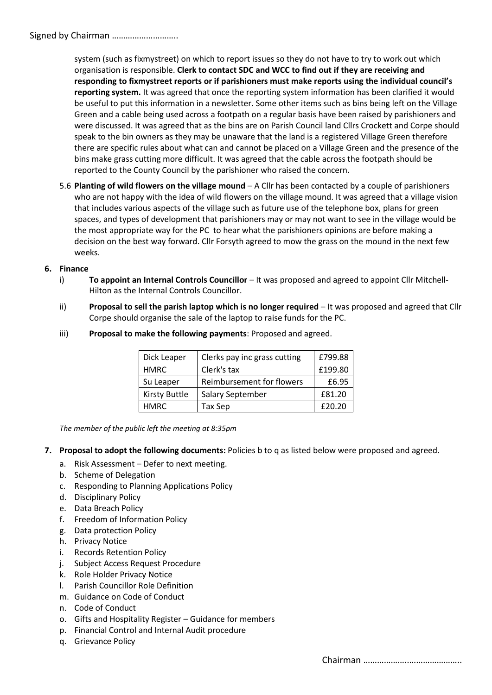### Signed by Chairman ………………………..

system (such as fixmystreet) on which to report issues so they do not have to try to work out which organisation is responsible. **Clerk to contact SDC and WCC to find out if they are receiving and responding to fixmystreet reports or if parishioners must make reports using the individual council's reporting system.** It was agreed that once the reporting system information has been clarified it would be useful to put this information in a newsletter. Some other items such as bins being left on the Village Green and a cable being used across a footpath on a regular basis have been raised by parishioners and were discussed. It was agreed that as the bins are on Parish Council land Cllrs Crockett and Corpe should speak to the bin owners as they may be unaware that the land is a registered Village Green therefore there are specific rules about what can and cannot be placed on a Village Green and the presence of the bins make grass cutting more difficult. It was agreed that the cable across the footpath should be reported to the County Council by the parishioner who raised the concern.

5.6 **Planting of wild flowers on the village mound** – A Cllr has been contacted by a couple of parishioners who are not happy with the idea of wild flowers on the village mound. It was agreed that a village vision that includes various aspects of the village such as future use of the telephone box, plans for green spaces, and types of development that parishioners may or may not want to see in the village would be the most appropriate way for the PC to hear what the parishioners opinions are before making a decision on the best way forward. Cllr Forsyth agreed to mow the grass on the mound in the next few weeks.

#### **6. Finance**

- i) **To appoint an Internal Controls Councillor** It was proposed and agreed to appoint Cllr Mitchell-Hilton as the Internal Controls Councillor.
- ii) **Proposal to sell the parish laptop which is no longer required** It was proposed and agreed that Cllr Corpe should organise the sale of the laptop to raise funds for the PC.

| Dick Leaper          | Clerks pay inc grass cutting | £799.88 |
|----------------------|------------------------------|---------|
| <b>HMRC</b>          | Clerk's tax                  | £199.80 |
| Su Leaper            | Reimbursement for flowers    | £6.95   |
| <b>Kirsty Buttle</b> | Salary September             | £81.20  |
| HMRC.                | Tax Sep                      | £20.20  |

iii) **Proposal to make the following payments**: Proposed and agreed.

 *The member of the public left the meeting at 8:35pm*

- **7. Proposal to adopt the following documents:** Policies b to q as listed below were proposed and agreed.
	- a. Risk Assessment Defer to next meeting.
	- b. Scheme of Delegation
	- c. Responding to Planning Applications Policy
	- d. Disciplinary Policy
	- e. Data Breach Policy
	- f. Freedom of Information Policy
	- g. Data protection Policy
	- h. Privacy Notice
	- i. Records Retention Policy
	- j. Subject Access Request Procedure
	- k. Role Holder Privacy Notice
	- l. Parish Councillor Role Definition
	- m. Guidance on Code of Conduct
	- n. Code of Conduct
	- o. Gifts and Hospitality Register Guidance for members
	- p. Financial Control and Internal Audit procedure
	- q. Grievance Policy